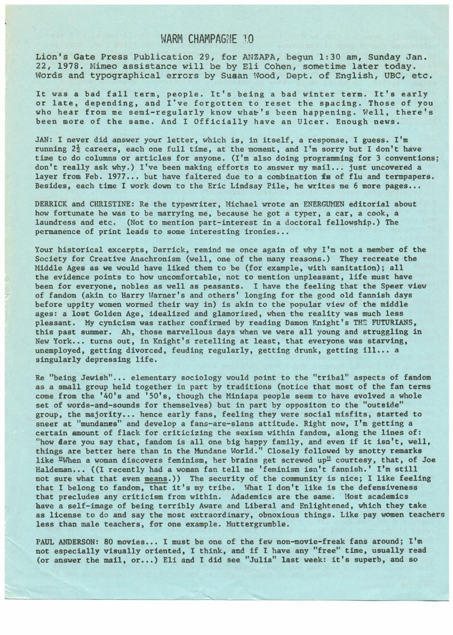## WARM CHAMPAGNE 10

Lion's Gate Press Publication 29, for ANZAPA, begun 1:30 am, Sunday Jan. 22, 1978. Mimeo assistance will be by Eli Cohen, sometime later today. Words and typographical errors by Susan Wood, Dept. of English, UBC, etc.

It was a bad fall term, people. It's being a bad winter term. It's early or late, depending, and I've forgotten to reset the spacing. Those of you who hear from me semi-regularly know what's been happening. Well, there's been more of the same. And I Officially have an Ulcer. Enough news.

JAN: I never did answer your letter, which is, in itself, a response, I guess. I'm running 2½ careers, each one full time, at the moment, and I'm sorry but I don't have time to do columns or articles for anyone. (I'm also doing programming for 3 conventions; don't really ask why.) I've been making efforts to answer my mail... just uncovered a layer from Feb. 1977... but have faltered due to a combination fa of flu and termpapers. Besides, each time I work down to the Eric Lindsay Pile, he writes me 6 more pages...

DERRICK and CHRISTINE: Re the typewriter, Michael wrote an ENERGUMEN editorial about how fortunate he was to be marrying me, because he got a typer, a car, a cook, a laundress and etc. (Not to mention part-interest in a doctoral fellowship.) The permanence of print leads to some interesting ironies...

Your historical excerpts, Derrick, remind me once again of why I'm not a member of the Society for Creative Anachronism (well, one of the many reasons.) They recreate the Middle **Ages** as we would have liked them to be (for example, with sanitation); all the evidence points to how uncomfortable, not to mention unpleasant, life must have been for everyone, nobles as well as peasants. I have the feeling that the Speer view of fandom (akin to Harry Warner's and others' longing for the good old fannish days before uppity women wormed their way in) is akin to the popular view of the middle ages: a lost Golden Age, idealized and glamorized, when the reality was much less pleasant. My cynicism was rather confirmed by reading Damon Knight's THE FUTURIANS, this past summer. Ah, those marvellous days when we were all young and struggling in New York... turns out, in Knight's retelling at least, that everyone was starving, unemployed, getting divorced, feuding regularly, getting drunk, getting ill. .. <sup>a</sup> singularly depressing life.

Re "being Jewish"... elementary sociology would point to the "tribal" aspects of fandom as a small group held together in part by traditions (notice that most of the fan terms come from the '40's and 'SO's, though the Miniapa people seem to have evolved a whole set of words-and-sounds for themselves) but in part by oppositon to the "outside" group, the majority... hence early fans, feeling they were social misfits, started to sneer at "mundanes" and develop a fans-are-slans attitude. Right now, I'm getting a certain amount of flack for criticizing the sexism within fandom, along the lines of: "how Bare you say that, fandom is all one big happy family, and even if it isn't, well, things are better here than in the Mundane World." Closely followed by snotty remarks like "When a woman discovers feminism, her brains get screwed up" courtesy, that, of Joe Haldeman... ((I recently had a woman fan tell me 'feminism isn't fannish.' I'm still not sure what that even means.)) The security of the community is nice; I like feeling that I belong to fandom, that it's my tribe. What I don't like is the defensiveness that precludes any criticism from within. Adademics are the same. Most academics have a self-image of being terribly Aware and Liberal and Enlightened, which they take as license to do and say the most extraordinary, obnoxious things. Like pay women teachers less than male teachers, for one example. Muttergrumble.

PAUL ANDERSON: 80 movies... I must be one of the few non-movie-freak fans around; I'm not especially visually oriented, I think, and if I have any "free" time, usually **read**  (or answer the mail, or...) Eli and I did see "Julia" last week: it's superb, and so